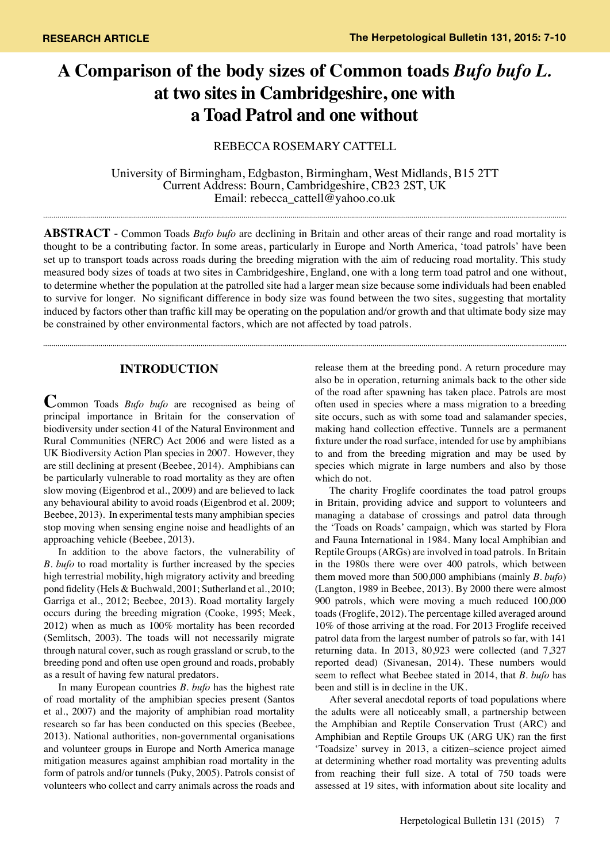# **A Comparison of the body sizes of Common toads** *Bufo bufo L.* **at two sites in Cambridgeshire, one with a Toad Patrol and one without**

# REBECCA ROSEMARY CATTELL

University of Birmingham, Edgbaston, Birmingham, West Midlands, B15 2TT Current Address: Bourn, Cambridgeshire, CB23 2ST, UK Email: rebecca\_cattell@yahoo.co.uk

**Abstract** - Common Toads *Bufo bufo* are declining in Britain and other areas of their range and road mortality is thought to be a contributing factor. In some areas, particularly in Europe and North America, 'toad patrols' have been set up to transport toads across roads during the breeding migration with the aim of reducing road mortality. This study measured body sizes of toads at two sites in Cambridgeshire, England, one with a long term toad patrol and one without, to determine whether the population at the patrolled site had a larger mean size because some individuals had been enabled to survive for longer. No significant difference in body size was found between the two sites, suggesting that mortality induced by factors other than traffic kill may be operating on the population and/or growth and that ultimate body size may be constrained by other environmental factors, which are not affected by toad patrols.

# **INTRODUCTION**

**C**ommon Toads *Bufo bufo* are recognised as being of principal importance in Britain for the conservation of biodiversity under section 41 of the Natural Environment and Rural Communities (NERC) Act 2006 and were listed as a UK Biodiversity Action Plan species in 2007. However, they are still declining at present (Beebee, 2014). Amphibians can be particularly vulnerable to road mortality as they are often slow moving (Eigenbrod et al., 2009) and are believed to lack any behavioural ability to avoid roads (Eigenbrod et al. 2009; Beebee, 2013). In experimental tests many amphibian species stop moving when sensing engine noise and headlights of an approaching vehicle (Beebee, 2013).

In addition to the above factors, the vulnerability of *B. bufo* to road mortality is further increased by the species high terrestrial mobility, high migratory activity and breeding pond fidelity (Hels & Buchwald, 2001; Sutherland et al., 2010; Garriga et al., 2012; Beebee, 2013). Road mortality largely occurs during the breeding migration (Cooke, 1995; Meek, 2012) when as much as 100% mortality has been recorded (Semlitsch, 2003). The toads will not necessarily migrate through natural cover, such as rough grassland or scrub, to the breeding pond and often use open ground and roads, probably as a result of having few natural predators.

In many European countries *B. bufo* has the highest rate of road mortality of the amphibian species present (Santos et al., 2007) and the majority of amphibian road mortality research so far has been conducted on this species (Beebee, 2013). National authorities, non-governmental organisations and volunteer groups in Europe and North America manage mitigation measures against amphibian road mortality in the form of patrols and/or tunnels (Puky, 2005). Patrols consist of volunteers who collect and carry animals across the roads and

release them at the breeding pond. A return procedure may also be in operation, returning animals back to the other side of the road after spawning has taken place. Patrols are most often used in species where a mass migration to a breeding site occurs, such as with some toad and salamander species, making hand collection effective. Tunnels are a permanent fixture under the road surface, intended for use by amphibians to and from the breeding migration and may be used by species which migrate in large numbers and also by those which do not.

The charity Froglife coordinates the toad patrol groups in Britain, providing advice and support to volunteers and managing a database of crossings and patrol data through the 'Toads on Roads' campaign, which was started by Flora and Fauna International in 1984. Many local Amphibian and Reptile Groups (ARGs) are involved in toad patrols. In Britain in the 1980s there were over 400 patrols, which between them moved more than 500,000 amphibians (mainly *B. bufo*) (Langton, 1989 in Beebee, 2013). By 2000 there were almost 900 patrols, which were moving a much reduced 100,000 toads (Froglife, 2012). The percentage killed averaged around 10% of those arriving at the road. For 2013 Froglife received patrol data from the largest number of patrols so far, with 141 returning data. In 2013, 80,923 were collected (and 7,327 reported dead) (Sivanesan, 2014). These numbers would seem to reflect what Beebee stated in 2014, that *B. bufo* has been and still is in decline in the UK.

After several anecdotal reports of toad populations where the adults were all noticeably small, a partnership between the Amphibian and Reptile Conservation Trust (ARC) and Amphibian and Reptile Groups UK (ARG UK) ran the first 'Toadsize' survey in 2013, a citizen–science project aimed at determining whether road mortality was preventing adults from reaching their full size. A total of 750 toads were assessed at 19 sites, with information about site locality and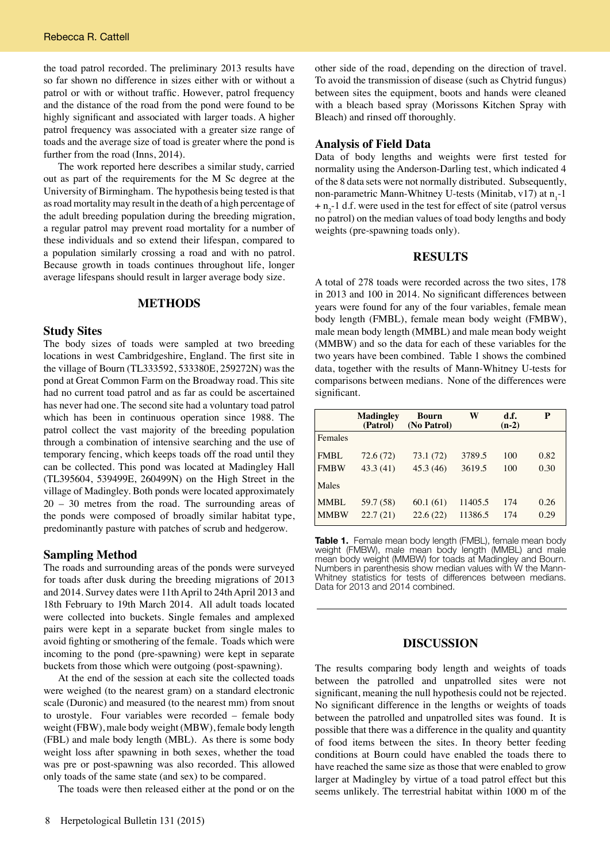the toad patrol recorded. The preliminary 2013 results have so far shown no difference in sizes either with or without a patrol or with or without traffic. However, patrol frequency and the distance of the road from the pond were found to be highly significant and associated with larger toads. A higher patrol frequency was associated with a greater size range of toads and the average size of toad is greater where the pond is further from the road (Inns, 2014).

The work reported here describes a similar study, carried out as part of the requirements for the M Sc degree at the University of Birmingham. The hypothesis being tested is that as road mortality may result in the death of a high percentage of the adult breeding population during the breeding migration, a regular patrol may prevent road mortality for a number of these individuals and so extend their lifespan, compared to a population similarly crossing a road and with no patrol. Because growth in toads continues throughout life, longer average lifespans should result in larger average body size.

## **METHODS**

## **Study Sites**

The body sizes of toads were sampled at two breeding locations in west Cambridgeshire, England. The first site in the village of Bourn (TL333592, 533380E, 259272N) was the pond at Great Common Farm on the Broadway road. This site had no current toad patrol and as far as could be ascertained has never had one. The second site had a voluntary toad patrol which has been in continuous operation since 1988. The patrol collect the vast majority of the breeding population through a combination of intensive searching and the use of temporary fencing, which keeps toads off the road until they can be collected. This pond was located at Madingley Hall (TL395604, 539499E, 260499N) on the High Street in the village of Madingley. Both ponds were located approximately 20 – 30 metres from the road. The surrounding areas of the ponds were composed of broadly similar habitat type, predominantly pasture with patches of scrub and hedgerow.

#### **Sampling Method**

The roads and surrounding areas of the ponds were surveyed for toads after dusk during the breeding migrations of 2013 and 2014. Survey dates were 11th April to 24th April 2013 and 18th February to 19th March 2014. All adult toads located were collected into buckets. Single females and amplexed pairs were kept in a separate bucket from single males to avoid fighting or smothering of the female. Toads which were incoming to the pond (pre-spawning) were kept in separate buckets from those which were outgoing (post-spawning).

At the end of the session at each site the collected toads were weighed (to the nearest gram) on a standard electronic scale (Duronic) and measured (to the nearest mm) from snout to urostyle. Four variables were recorded – female body weight (FBW), male body weight (MBW), female body length (FBL) and male body length (MBL). As there is some body weight loss after spawning in both sexes, whether the toad was pre or post-spawning was also recorded. This allowed only toads of the same state (and sex) to be compared.

The toads were then released either at the pond or on the

other side of the road, depending on the direction of travel. To avoid the transmission of disease (such as Chytrid fungus) between sites the equipment, boots and hands were cleaned with a bleach based spray (Morissons Kitchen Spray with Bleach) and rinsed off thoroughly.

#### **Analysis of Field Data**

Data of body lengths and weights were first tested for normality using the Anderson-Darling test, which indicated 4 of the 8 data sets were not normally distributed. Subsequently, non-parametric Mann-Whitney U-tests (Minitab, v17) at  $n_1$ -1  $+n_2$ -1 d.f. were used in the test for effect of site (patrol versus no patrol) on the median values of toad body lengths and body weights (pre-spawning toads only).

## **RESULTS**

A total of 278 toads were recorded across the two sites, 178 in 2013 and 100 in 2014. No significant differences between years were found for any of the four variables, female mean body length (FMBL), female mean body weight (FMBW), male mean body length (MMBL) and male mean body weight (MMBW) and so the data for each of these variables for the two years have been combined. Table 1 shows the combined data, together with the results of Mann-Whitney U-tests for comparisons between medians. None of the differences were significant.

|             | <b>Madingley</b><br>(Patrol) | <b>Bourn</b><br>(No Patrol) | W       | d.f.<br>$(n-2)$ | P    |
|-------------|------------------------------|-----------------------------|---------|-----------------|------|
| Females     |                              |                             |         |                 |      |
| <b>FMBL</b> | 72.6(72)                     | 73.1 (72)                   | 3789.5  | 100             | 0.82 |
| <b>FMBW</b> | 43.3(41)                     | 45.3(46)                    | 3619.5  | 100             | 0.30 |
| Males       |                              |                             |         |                 |      |
| <b>MMBL</b> | 59.7 (58)                    | 60.1(61)                    | 11405.5 | 174             | 0.26 |
| <b>MMBW</b> | 22.7(21)                     | 22.6(22)                    | 11386.5 | 174             | 0.29 |

**Table 1.** Female mean body length (FMBL), female mean body weight (FMBW), male mean body length (MMBL) and male mean body weight (MMBW) for toads at Madingley and Bourn. Numbers in parenthesis show median values with W the Mann-Whitney statistics for tests of differences between medians. Data for 2013 and 2014 combined.

#### **DISCUSSION**

The results comparing body length and weights of toads between the patrolled and unpatrolled sites were not significant, meaning the null hypothesis could not be rejected. No significant difference in the lengths or weights of toads between the patrolled and unpatrolled sites was found. It is possible that there was a difference in the quality and quantity of food items between the sites. In theory better feeding conditions at Bourn could have enabled the toads there to have reached the same size as those that were enabled to grow larger at Madingley by virtue of a toad patrol effect but this seems unlikely. The terrestrial habitat within 1000 m of the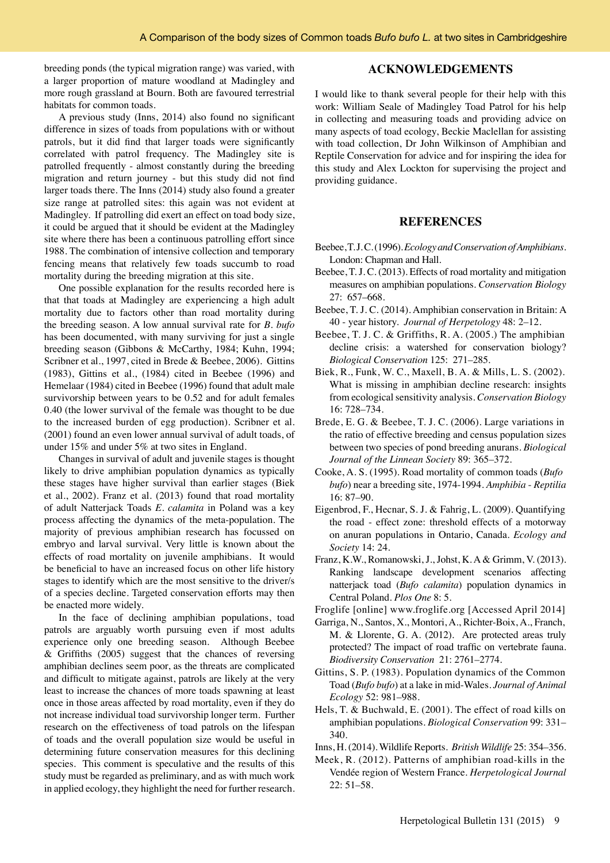breeding ponds (the typical migration range) was varied, with a larger proportion of mature woodland at Madingley and more rough grassland at Bourn. Both are favoured terrestrial habitats for common toads.

A previous study (Inns, 2014) also found no significant difference in sizes of toads from populations with or without patrols, but it did find that larger toads were significantly correlated with patrol frequency. The Madingley site is patrolled frequently - almost constantly during the breeding migration and return journey - but this study did not find larger toads there. The Inns (2014) study also found a greater size range at patrolled sites: this again was not evident at Madingley. If patrolling did exert an effect on toad body size, it could be argued that it should be evident at the Madingley site where there has been a continuous patrolling effort since 1988. The combination of intensive collection and temporary fencing means that relatively few toads succumb to road mortality during the breeding migration at this site.

One possible explanation for the results recorded here is that that toads at Madingley are experiencing a high adult mortality due to factors other than road mortality during the breeding season. A low annual survival rate for *B. bufo*  has been documented, with many surviving for just a single breeding season (Gibbons & McCarthy, 1984; Kuhn, 1994; Scribner et al., 1997, cited in Brede & Beebee, 2006). Gittins (1983), Gittins et al., (1984) cited in Beebee (1996) and Hemelaar (1984) cited in Beebee (1996) found that adult male survivorship between years to be 0.52 and for adult females 0.40 (the lower survival of the female was thought to be due to the increased burden of egg production). Scribner et al. (2001) found an even lower annual survival of adult toads, of under 15% and under 5% at two sites in England.

Changes in survival of adult and juvenile stages is thought likely to drive amphibian population dynamics as typically these stages have higher survival than earlier stages (Biek et al., 2002). Franz et al. (2013) found that road mortality of adult Natterjack Toads *E. calamita* in Poland was a key process affecting the dynamics of the meta-population. The majority of previous amphibian research has focussed on embryo and larval survival. Very little is known about the effects of road mortality on juvenile amphibians. It would be beneficial to have an increased focus on other life history stages to identify which are the most sensitive to the driver/s of a species decline. Targeted conservation efforts may then be enacted more widely.

In the face of declining amphibian populations, toad patrols are arguably worth pursuing even if most adults experience only one breeding season. Although Beebee & Griffiths (2005) suggest that the chances of reversing amphibian declines seem poor, as the threats are complicated and difficult to mitigate against, patrols are likely at the very least to increase the chances of more toads spawning at least once in those areas affected by road mortality, even if they do not increase individual toad survivorship longer term. Further research on the effectiveness of toad patrols on the lifespan of toads and the overall population size would be useful in determining future conservation measures for this declining species. This comment is speculative and the results of this study must be regarded as preliminary, and as with much work in applied ecology, they highlight the need for further research.

### **ACKNOWLEDGEMENTS**

I would like to thank several people for their help with this work: William Seale of Madingley Toad Patrol for his help in collecting and measuring toads and providing advice on many aspects of toad ecology, Beckie Maclellan for assisting with toad collection, Dr John Wilkinson of Amphibian and Reptile Conservation for advice and for inspiring the idea for this study and Alex Lockton for supervising the project and providing guidance.

## **REFERENCES**

- Beebee, T. J. C. (1996). *Ecology and Conservation of Amphibians*. London: Chapman and Hall.
- Beebee, T. J. C. (2013). Effects of road mortality and mitigation measures on amphibian populations. *Conservation Biology* 27: 657–668.
- Beebee, T. J. C. (2014). Amphibian conservation in Britain: A 40 - year history. *Journal of Herpetology* 48: 2–12.
- Beebee, T. J. C. & Griffiths, R. A. (2005.) The amphibian decline crisis: a watershed for conservation biology? *Biological Conservation* 125: 271–285.
- Biek, R., Funk, W. C., Maxell, B. A. & Mills, L. S. (2002). What is missing in amphibian decline research: insights from ecological sensitivity analysis. *Conservation Biology* 16: 728–734.
- Brede, E. G. & Beebee, T. J. C. (2006). Large variations in the ratio of effective breeding and census population sizes between two species of pond breeding anurans. *Biological Journal of the Linnean Society* 89: 365–372.
- Cooke, A. S. (1995). Road mortality of common toads (*Bufo bufo*) near a breeding site, 1974-1994. *Amphibia* - *Reptilia* 16: 87–90.
- Eigenbrod, F., Hecnar, S. J. & Fahrig, L. (2009). Quantifying the road - effect zone: threshold effects of a motorway on anuran populations in Ontario, Canada. *Ecology and Society* 14: 24.
- Franz, K.W., Romanowski, J., Johst, K. A & Grimm, V. (2013). Ranking landscape development scenarios affecting natterjack toad (*Bufo calamita*) population dynamics in Central Poland. *Plos One* 8: 5.
- Froglife [online] www.froglife.org [Accessed April 2014]
- Garriga, N., Santos, X., Montori, A., Richter-Boix, A., Franch, M. & Llorente, G. A. (2012). Are protected areas truly protected? The impact of road traffic on vertebrate fauna. *Biodiversity Conservation* 21: 2761–2774.
- Gittins, S. P. (1983). Population dynamics of the Common Toad (*Bufo bufo*) at a lake in mid-Wales. *Journal of Animal Ecology* 52: 981–988.
- Hels, T. & Buchwald, E. (2001). The effect of road kills on amphibian populations. *Biological Conservation* 99: 331– 340.
- Inns, H. (2014). Wildlife Reports. *British Wildlife* 25: 354–356.
- Meek, R. (2012). Patterns of amphibian road-kills in the Vendée region of Western France. *Herpetological Journal* 22: 51–58.